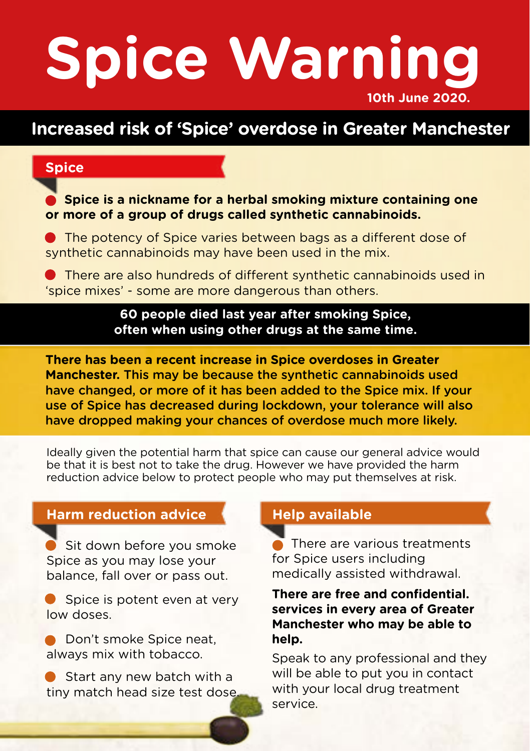# **Spice Warning 10th June 2020.**

## **Increased risk of 'Spice' overdose in Greater Manchester**

### **Spice**

 **Spice is a nickname for a herbal smoking mixture containing one or more of a group of drugs called synthetic cannabinoids.**

 The potency of Spice varies between bags as a different dose of synthetic cannabinoids may have been used in the mix.

 There are also hundreds of different synthetic cannabinoids used in 'spice mixes' - some are more dangerous than others.

> **60 people died last year after smoking Spice, often when using other drugs at the same time.**

**There has been a recent increase in Spice overdoses in Greater Manchester.** This may be because the synthetic cannabinoids used have changed, or more of it has been added to the Spice mix. If your use of Spice has decreased during lockdown, your tolerance will also have dropped making your chances of overdose much more likely.

Ideally given the potential harm that spice can cause our general advice would be that it is best not to take the drug. However we have provided the harm reduction advice below to protect people who may put themselves at risk.

#### **Harm reduction advice**

 Sit down before you smoke Spice as you may lose your balance, fall over or pass out.

 Spice is potent even at very low doses.

 Don't smoke Spice neat, always mix with tobacco.

 Start any new batch with a tiny match head size test dose.

#### **Help available**

Ę There are various treatments for Spice users including medically assisted withdrawal.

#### **There are free and confidential. services in every area of Greater Manchester who may be able to help.**

Speak to any professional and they will be able to put you in contact with your local drug treatment service.